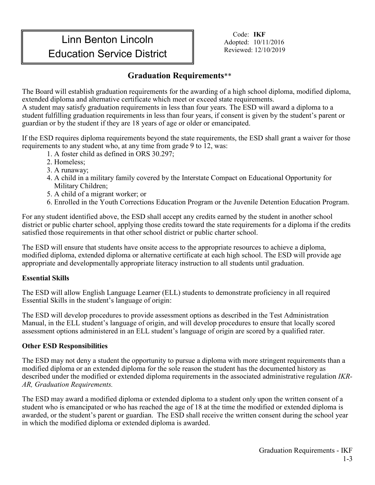## **Linn Benton Lincoln** Code: **IKF**<br>
Adopted: 10/1 **Education Service District** The Reviewed: 12/10/2019

Adopted: 10/11/2016

## **Graduation Requirements**\*\*

The Board will establish graduation requirements for the awarding of a high school diploma, modified diploma, extended diploma and alternative certificate which meet or exceed state requirements.

A student may satisfy graduation requirements in less than four years. The ESD will award a diploma to a student fulfilling graduation requirements in less than four years, if consent is given by the student's parent or guardian or by the student if they are 18 years of age or older or emancipated.

If the ESD requires diploma requirements beyond the state requirements, the ESD shall grant a waiver for those requirements to any student who, at any time from grade 9 to 12, was:

- 1. A foster child as defined in ORS 30.297;
- 2. Homeless;
- 3. A runaway;
- 4. A child in a military family covered by the Interstate Compact on Educational Opportunity for Military Children;
- 5. A child of a migrant worker; or
- 6. Enrolled in the Youth Corrections Education Program or the Juvenile Detention Education Program.

For any student identified above, the ESD shall accept any credits earned by the student in another school district or public charter school, applying those credits toward the state requirements for a diploma if the credits satisfied those requirements in that other school district or public charter school.

The ESD will ensure that students have onsite access to the appropriate resources to achieve a diploma, modified diploma, extended diploma or alternative certificate at each high school. The ESD will provide age appropriate and developmentally appropriate literacy instruction to all students until graduation.

## **Essential Skills**

The ESD will allow English Language Learner (ELL) students to demonstrate proficiency in all required Essential Skills in the student's language of origin:

The ESD will develop procedures to provide assessment options as described in the Test Administration Manual, in the ELL student's language of origin, and will develop procedures to ensure that locally scored assessment options administered in an ELL student's language of origin are scored by a qualified rater.

## **Other ESD Responsibilities**

The ESD may not deny a student the opportunity to pursue a diploma with more stringent requirements than a modified diploma or an extended diploma for the sole reason the student has the documented history as described under the modified or extended diploma requirements in the associated administrative regulation *IKR-AR, Graduation Requirements.*

The ESD may award a modified diploma or extended diploma to a student only upon the written consent of a student who is emancipated or who has reached the age of 18 at the time the modified or extended diploma is awarded, or the student's parent or guardian. The ESD shall receive the written consent during the school year in which the modified diploma or extended diploma is awarded.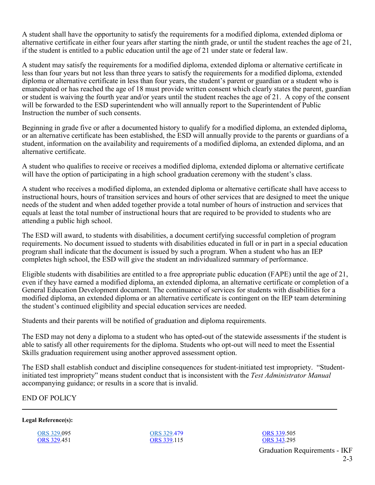A student shall have the opportunity to satisfy the requirements for a modified diploma, extended diploma or alternative certificate in either four years after starting the ninth grade, or until the student reaches the age of 21, if the student is entitled to a public education until the age of 21 under state or federal law.

A student may satisfy the requirements for a modified diploma, extended diploma or alternative certificate in less than four years but not less than three years to satisfy the requirements for a modified diploma, extended diploma or alternative certificate in less than four years, the student's parent or guardian or a student who is emancipated or has reached the age of 18 must provide written consent which clearly states the parent, guardian or student is waiving the fourth year and/or years until the student reaches the age of 21. A copy of the consent will be forwarded to the ESD superintendent who will annually report to the Superintendent of Public Instruction the number of such consents.

Beginning in grade five or after a documented history to qualify for a modified diploma, an extended diploma**,**  or an alternative certificate has been established, the ESD will annually provide to the parents or guardians of a student, information on the availability and requirements of a modified diploma, an extended diploma, and an alternative certificate.

A student who qualifies to receive or receives a modified diploma, extended diploma or alternative certificate will have the option of participating in a high school graduation ceremony with the student's class.

A student who receives a modified diploma, an extended diploma or alternative certificate shall have access to instructional hours, hours of transition services and hours of other services that are designed to meet the unique needs of the student and when added together provide a total number of hours of instruction and services that equals at least the total number of instructional hours that are required to be provided to students who are attending a public high school.

The ESD will award, to students with disabilities, a document certifying successful completion of program requirements. No document issued to students with disabilities educated in full or in part in a special education program shall indicate that the document is issued by such a program. When a student who has an IEP completes high school, the ESD will give the student an individualized summary of performance.

Eligible students with disabilities are entitled to a free appropriate public education (FAPE) until the age of 21, even if they have earned a modified diploma, an extended diploma, an alternative certificate or completion of a General Education Development document. The continuance of services for students with disabilities for a modified diploma, an extended diploma or an alternative certificate is contingent on the IEP team determining the student's continued eligibility and special education services are needed.

Students and their parents will be notified of graduation and diploma requirements.

The ESD may not deny a diploma to a student who has opted-out of the statewide assessments if the student is able to satisfy all other requirements for the diploma. Students who opt-out will need to meet the Essential Skills graduation requirement using another approved assessment option.

The ESD shall establish conduct and discipline consequences for student-initiated test impropriety. "Studentinitiated test impropriety" means student conduct that is inconsistent with the *Test Administrator Manual* accompanying guidance; or results in a score that is invalid.

END OF POLICY

**Legal Reference(s):**

[ORS 329.0](https://www.oregonlegislature.gov/bills_laws/ors/ors329.html)95 [ORS 329.](https://www.oregonlegislature.gov/bills_laws/ors/ors329.html)451 [ORS 329.](https://www.oregonlegislature.gov/bills_laws/ors/ors329.html)479 [ORS 339.](https://www.oregonlegislature.gov/bills_laws/ors/ors339.html)115 [ORS 339.5](https://www.oregonlegislature.gov/bills_laws/ors/ors339.html)05 [ORS 343.2](https://www.oregonlegislature.gov/bills_laws/ors/ors343.html)95